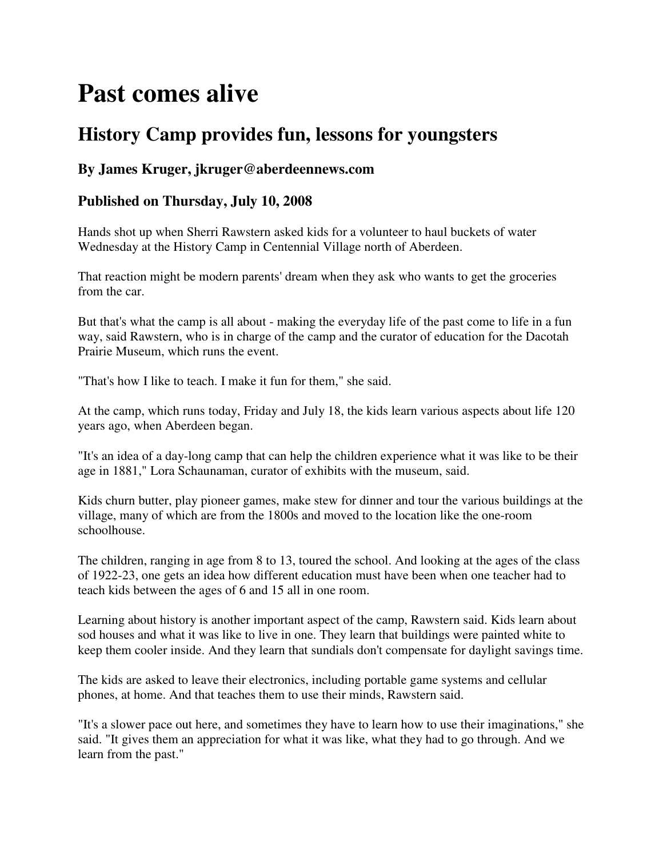## **Past comes alive**

## **History Camp provides fun, lessons for youngsters**

## **By James Kruger, jkruger@aberdeennews.com**

## **Published on Thursday, July 10, 2008**

Hands shot up when Sherri Rawstern asked kids for a volunteer to haul buckets of water Wednesday at the History Camp in Centennial Village north of Aberdeen.

That reaction might be modern parents' dream when they ask who wants to get the groceries from the car.

But that's what the camp is all about - making the everyday life of the past come to life in a fun way, said Rawstern, who is in charge of the camp and the curator of education for the Dacotah Prairie Museum, which runs the event.

"That's how I like to teach. I make it fun for them," she said.

At the camp, which runs today, Friday and July 18, the kids learn various aspects about life 120 years ago, when Aberdeen began.

"It's an idea of a day-long camp that can help the children experience what it was like to be their age in 1881," Lora Schaunaman, curator of exhibits with the museum, said.

Kids churn butter, play pioneer games, make stew for dinner and tour the various buildings at the village, many of which are from the 1800s and moved to the location like the one-room schoolhouse.

The children, ranging in age from 8 to 13, toured the school. And looking at the ages of the class of 1922-23, one gets an idea how different education must have been when one teacher had to teach kids between the ages of 6 and 15 all in one room.

Learning about history is another important aspect of the camp, Rawstern said. Kids learn about sod houses and what it was like to live in one. They learn that buildings were painted white to keep them cooler inside. And they learn that sundials don't compensate for daylight savings time.

The kids are asked to leave their electronics, including portable game systems and cellular phones, at home. And that teaches them to use their minds, Rawstern said.

"It's a slower pace out here, and sometimes they have to learn how to use their imaginations," she said. "It gives them an appreciation for what it was like, what they had to go through. And we learn from the past."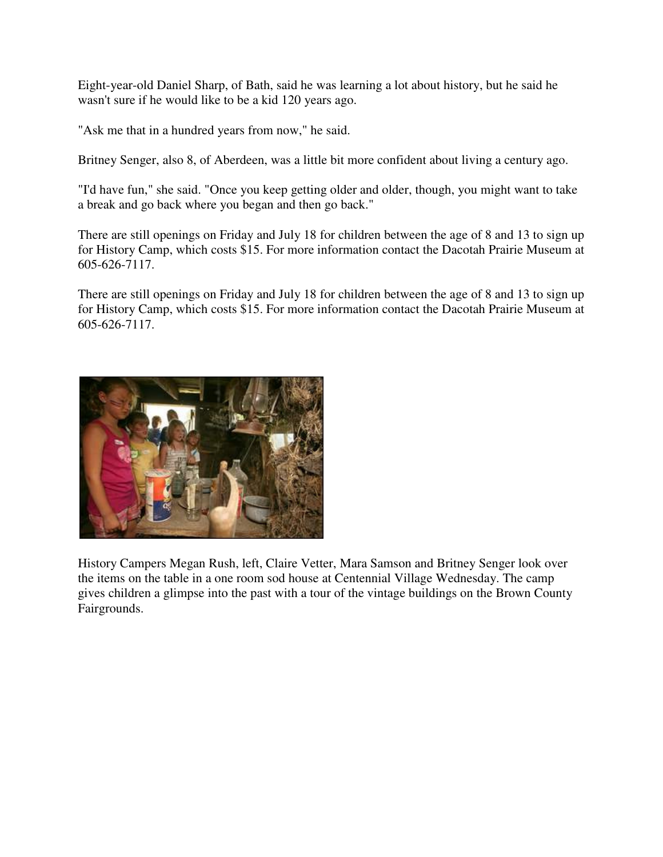Eight-year-old Daniel Sharp, of Bath, said he was learning a lot about history, but he said he wasn't sure if he would like to be a kid 120 years ago.

"Ask me that in a hundred years from now," he said.

Britney Senger, also 8, of Aberdeen, was a little bit more confident about living a century ago.

"I'd have fun," she said. "Once you keep getting older and older, though, you might want to take a break and go back where you began and then go back."

There are still openings on Friday and July 18 for children between the age of 8 and 13 to sign up for History Camp, which costs \$15. For more information contact the Dacotah Prairie Museum at 605-626-7117.

There are still openings on Friday and July 18 for children between the age of 8 and 13 to sign up for History Camp, which costs \$15. For more information contact the Dacotah Prairie Museum at 605-626-7117.



History Campers Megan Rush, left, Claire Vetter, Mara Samson and Britney Senger look over the items on the table in a one room sod house at Centennial Village Wednesday. The camp gives children a glimpse into the past with a tour of the vintage buildings on the Brown County Fairgrounds.